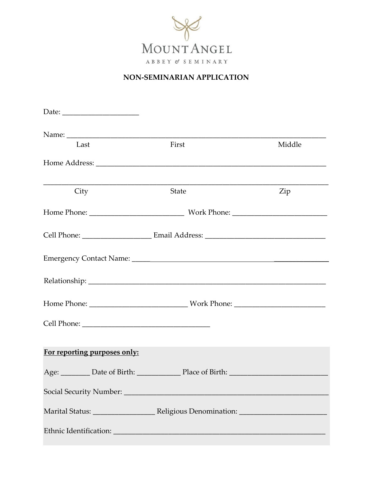

## NON-SEMINARIAN APPLICATION

| Last                                                                              | First        | Middle |
|-----------------------------------------------------------------------------------|--------------|--------|
|                                                                                   |              |        |
| City                                                                              | <b>State</b> | Zip    |
|                                                                                   |              |        |
|                                                                                   |              |        |
|                                                                                   |              |        |
|                                                                                   |              |        |
|                                                                                   |              |        |
|                                                                                   |              |        |
| For reporting purposes only:                                                      |              |        |
| Age: _________ Date of Birth: _______________ Place of Birth: ___________________ |              |        |
|                                                                                   |              |        |
|                                                                                   |              |        |
|                                                                                   |              |        |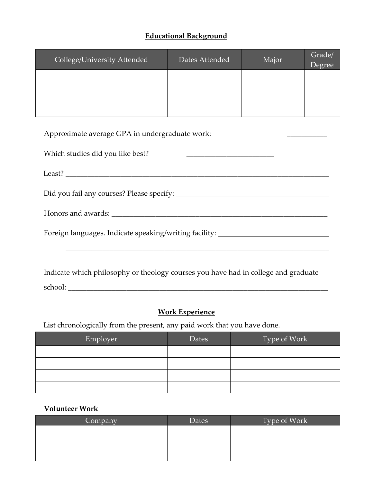#### **Educational Background**

| College/University Attended | Dates Attended | Major | Grade/<br>Degree |
|-----------------------------|----------------|-------|------------------|
|                             |                |       |                  |
|                             |                |       |                  |
|                             |                |       |                  |
|                             |                |       |                  |

| Approximate average GPA in undergraduate work: __________________________________ |
|-----------------------------------------------------------------------------------|
|                                                                                   |
|                                                                                   |
|                                                                                   |
|                                                                                   |
| Foreign languages. Indicate speaking/writing facility: _________________________  |
|                                                                                   |
|                                                                                   |

Indicate which philosophy or theology courses you have had in college and graduate school: \_\_\_\_\_\_\_\_\_\_\_\_\_\_\_\_\_\_\_\_\_\_\_\_\_\_\_\_\_\_\_\_\_\_\_\_\_\_\_\_\_\_\_\_\_\_\_\_\_\_\_\_\_\_\_\_\_\_\_\_\_\_\_\_\_\_\_\_\_\_\_

## **Work Experience**

List chronologically from the present, any paid work that you have done.

| Employer | Dates | $\sqrt{\text{Type of Work}}$ |
|----------|-------|------------------------------|
|          |       |                              |
|          |       |                              |
|          |       |                              |
|          |       |                              |

#### **Volunteer Work**

| Company | Dates | Type of Work |
|---------|-------|--------------|
|         |       |              |
|         |       |              |
|         |       |              |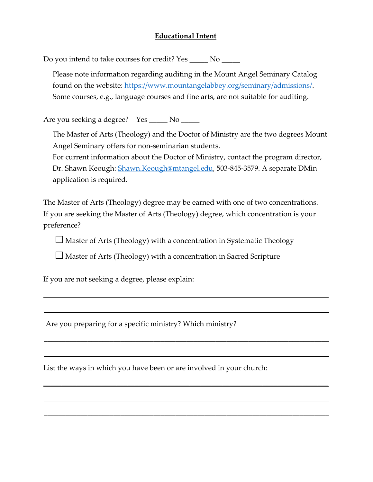#### **Educational Intent**

Do you intend to take courses for credit? Yes \_\_\_\_\_ No \_\_\_\_\_

Please note information regarding auditing in the Mount Angel Seminary Catalog found on the website: [https://www.mountangelabbey.org/seminary/admissions/.](https://www.mountangelabbey.org/seminary/admissions/) Some courses, e.g., language courses and fine arts, are not suitable for auditing.

Are you seeking a degree? Yes \_\_\_\_\_ No \_\_\_\_\_

The Master of Arts (Theology) and the Doctor of Ministry are the two degrees Mount Angel Seminary offers for non-seminarian students.

For current information about the Doctor of Ministry, contact the program director, Dr. Shawn Keough: [Shawn.Keough@mtangel.edu,](mailto:Shawn.Keough@mtangel.edu) 503-845-3579. A separate DMin application is required.

The Master of Arts (Theology) degree may be earned with one of two concentrations. If you are seeking the Master of Arts (Theology) degree, which concentration is your preference?

 $\Box$  Master of Arts (Theology) with a concentration in Systematic Theology

\_\_\_\_\_\_\_\_\_\_\_\_\_\_\_\_\_\_\_\_\_\_\_\_\_\_\_\_\_\_\_\_\_\_\_\_\_\_\_\_\_\_\_\_\_\_\_\_\_\_\_\_\_\_\_\_\_\_\_\_\_\_\_\_\_\_\_\_\_\_\_\_\_\_\_\_\_\_

\_\_\_\_\_\_\_\_\_\_\_\_\_\_\_\_\_\_\_\_\_\_\_\_\_\_\_\_\_\_\_\_\_\_\_\_\_\_\_\_\_\_\_\_\_\_\_\_\_\_\_\_\_\_\_\_\_\_\_\_\_\_\_\_\_\_\_\_\_\_\_\_\_\_\_\_\_\_

\_\_\_\_\_\_\_\_\_\_\_\_\_\_\_\_\_\_\_\_\_\_\_\_\_\_\_\_\_\_\_\_\_\_\_\_\_\_\_\_\_\_\_\_\_\_\_\_\_\_\_\_\_\_\_\_\_\_\_\_\_\_\_\_\_\_\_\_\_\_\_\_\_\_\_\_\_\_

\_\_\_\_\_\_\_\_\_\_\_\_\_\_\_\_\_\_\_\_\_\_\_\_\_\_\_\_\_\_\_\_\_\_\_\_\_\_\_\_\_\_\_\_\_\_\_\_\_\_\_\_\_\_\_\_\_\_\_\_\_\_\_\_\_\_\_\_\_\_\_\_\_\_\_\_\_\_

\_\_\_\_\_\_\_\_\_\_\_\_\_\_\_\_\_\_\_\_\_\_\_\_\_\_\_\_\_\_\_\_\_\_\_\_\_\_\_\_\_\_\_\_\_\_\_\_\_\_\_\_\_\_\_\_\_\_\_\_\_\_\_\_\_\_\_\_\_\_\_\_\_\_\_\_\_\_

\_\_\_\_\_\_\_\_\_\_\_\_\_\_\_\_\_\_\_\_\_\_\_\_\_\_\_\_\_\_\_\_\_\_\_\_\_\_\_\_\_\_\_\_\_\_\_\_\_\_\_\_\_\_\_\_\_\_\_\_\_\_\_\_\_\_\_\_\_\_\_\_\_\_\_\_\_\_

\_\_\_\_\_\_\_\_\_\_\_\_\_\_\_\_\_\_\_\_\_\_\_\_\_\_\_\_\_\_\_\_\_\_\_\_\_\_\_\_\_\_\_\_\_\_\_\_\_\_\_\_\_\_\_\_\_\_\_\_\_\_\_\_\_\_\_\_\_\_\_\_\_\_\_\_\_\_

 $\Box$  Master of Arts (Theology) with a concentration in Sacred Scripture

If you are not seeking a degree, please explain:

Are you preparing for a specific ministry? Which ministry?

List the ways in which you have been or are involved in your church: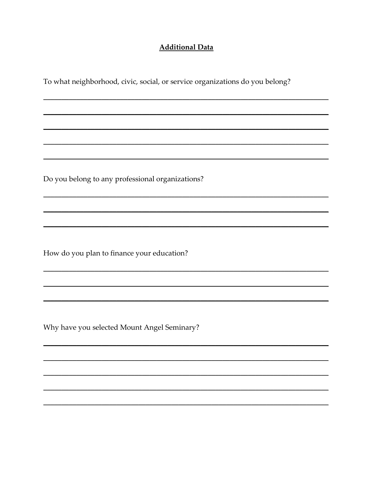#### **Additional Data**

To what neighborhood, civic, social, or service organizations do you belong?

Do you belong to any professional organizations?

How do you plan to finance your education?

Why have you selected Mount Angel Seminary?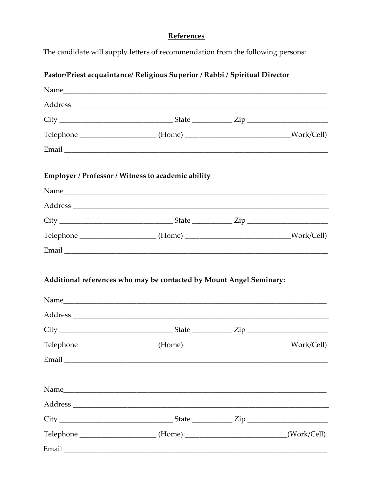# References

The candidate will supply letters of recommendation from the following persons:

| Pastor/Priest acquaintance/ Religious Superior / Rabbi / Spiritual Director           |  |
|---------------------------------------------------------------------------------------|--|
|                                                                                       |  |
|                                                                                       |  |
|                                                                                       |  |
| Telephone _______________________(Home) __________________________________Work/Cell)  |  |
|                                                                                       |  |
| Employer / Professor / Witness to academic ability                                    |  |
|                                                                                       |  |
|                                                                                       |  |
|                                                                                       |  |
| Telephone _______________________(Home) __________________________________Work/Cell)  |  |
|                                                                                       |  |
| Additional references who may be contacted by Mount Angel Seminary:                   |  |
|                                                                                       |  |
|                                                                                       |  |
| Telephone _______________________(Home) ___________________________________Work/Cell) |  |
|                                                                                       |  |
|                                                                                       |  |
|                                                                                       |  |
|                                                                                       |  |
| Telephone ________________________(Home) ___________________________(Work/Cell)       |  |
|                                                                                       |  |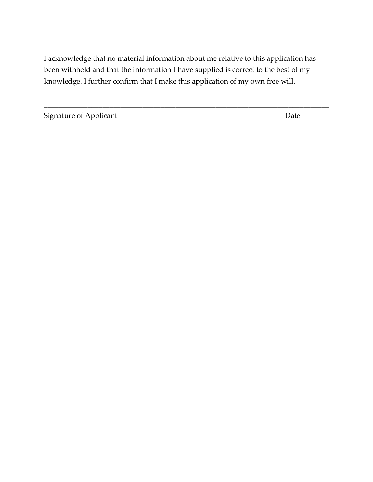I acknowledge that no material information about me relative to this application has been withheld and that the information I have supplied is correct to the best of my knowledge. I further confirm that I make this application of my own free will.

\_\_\_\_\_\_\_\_\_\_\_\_\_\_\_\_\_\_\_\_\_\_\_\_\_\_\_\_\_\_\_\_\_\_\_\_\_\_\_\_\_\_\_\_\_\_\_\_\_\_\_\_\_\_\_\_\_\_\_\_\_\_\_\_\_\_\_\_\_\_\_\_\_\_\_\_\_\_

Signature of Applicant Date Date Date